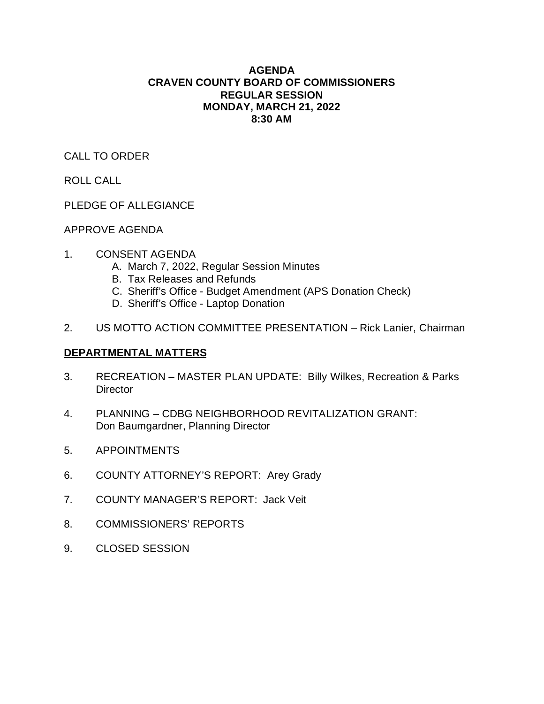# **AGENDA CRAVEN COUNTY BOARD OF COMMISSIONERS REGULAR SESSION MONDAY, MARCH 21, 2022 8:30 AM**

CALL TO ORDER

ROLL CALL

PLEDGE OF ALLEGIANCE

APPROVE AGENDA

- 1. CONSENT AGENDA
	- A. March 7, 2022, Regular Session Minutes
	- B. Tax Releases and Refunds
	- C. Sheriff's Office Budget Amendment (APS Donation Check)
	- D. Sheriff's Office Laptop Donation
- 2. US MOTTO ACTION COMMITTEE PRESENTATION Rick Lanier, Chairman

# **DEPARTMENTAL MATTERS**

- 3. RECREATION MASTER PLAN UPDATE: Billy Wilkes, Recreation & Parks **Director**
- 4. PLANNING CDBG NEIGHBORHOOD REVITALIZATION GRANT: Don Baumgardner, Planning Director
- 5. APPOINTMENTS
- 6. COUNTY ATTORNEY'S REPORT: Arey Grady
- 7. COUNTY MANAGER'S REPORT: Jack Veit
- 8. COMMISSIONERS' REPORTS
- 9. CLOSED SESSION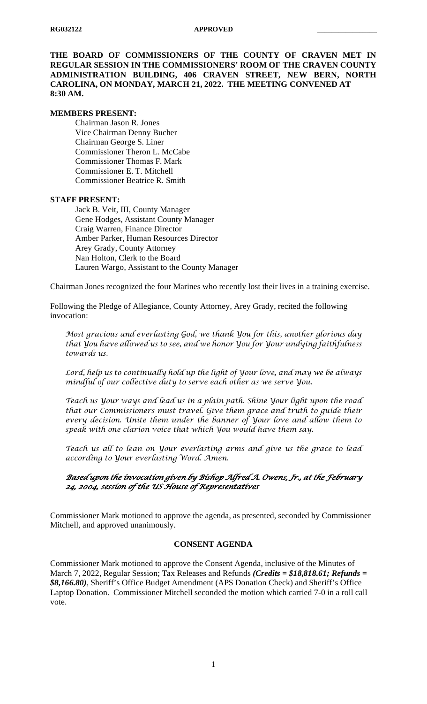**THE BOARD OF COMMISSIONERS OF THE COUNTY OF CRAVEN MET IN REGULAR SESSION IN THE COMMISSIONERS' ROOM OF THE CRAVEN COUNTY ADMINISTRATION BUILDING, 406 CRAVEN STREET, NEW BERN, NORTH CAROLINA, ON MONDAY, MARCH 21, 2022. THE MEETING CONVENED AT 8:30 AM.**

#### **MEMBERS PRESENT:**

Chairman Jason R. Jones Vice Chairman Denny Bucher Chairman George S. Liner Commissioner Theron L. McCabe Commissioner Thomas F. Mark Commissioner E. T. Mitchell Commissioner Beatrice R. Smith

#### **STAFF PRESENT:**

Jack B. Veit, III, County Manager Gene Hodges, Assistant County Manager Craig Warren, Finance Director Amber Parker, Human Resources Director Arey Grady, County Attorney Nan Holton, Clerk to the Board Lauren Wargo, Assistant to the County Manager

Chairman Jones recognized the four Marines who recently lost their lives in a training exercise.

Following the Pledge of Allegiance, County Attorney, Arey Grady, recited the following invocation:

*Most gracious and everlasting God, we thank You for this, another glorious day that You have allowed us to see, and we honor You for Your undying faithfulness towards us.*

*Lord, help us to continually hold up the light of Your love, and may we be always mindful of our collective duty to serve each other as we serve You.*

*Teach us Your ways and lead us in a plain path. Shine Your light upon the road that our Commissioners must travel. Give them grace and truth to guide their every decision. Unite them under the banner of Your love and allow them to speak with one clarion voice that which You would have them say.*

*Teach us all to lean on Your everlasting arms and give us the grace to lead according to Your everlasting Word. Amen.*

# *Based upon the invocation given by Bishop Alfred A. Owens, Jr., at the February 24, 2004, session of the US House of Representatives*

Commissioner Mark motioned to approve the agenda, as presented, seconded by Commissioner Mitchell, and approved unanimously.

# **CONSENT AGENDA**

Commissioner Mark motioned to approve the Consent Agenda, inclusive of the Minutes of March 7, 2022, Regular Session; Tax Releases and Refunds *(Credits = \$18,818.61; Refunds = \$8,166.80)*, Sheriff's Office Budget Amendment (APS Donation Check) and Sheriff's Office Laptop Donation. Commissioner Mitchell seconded the motion which carried 7-0 in a roll call vote.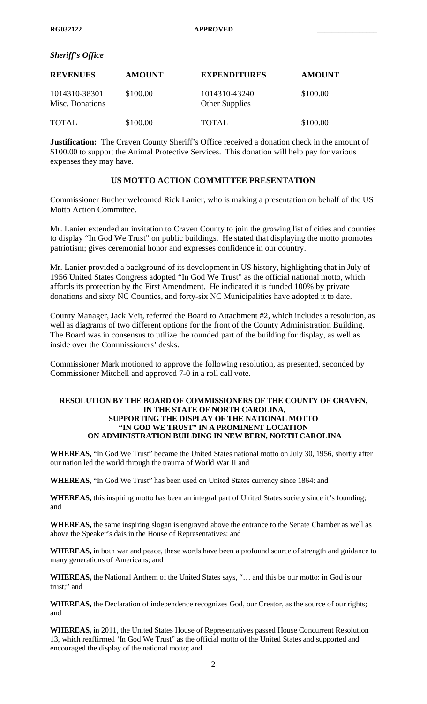#### *Sheriff's Office*

| <b>REVENUES</b>                  | <b>AMOUNT</b> | <b>EXPENDITURES</b>             | <b>AMOUNT</b> |
|----------------------------------|---------------|---------------------------------|---------------|
| 1014310-38301<br>Misc. Donations | \$100.00      | 1014310-43240<br>Other Supplies | \$100.00      |
| <b>TOTAL</b>                     | \$100.00      | TOTAL                           | \$100.00      |

**Justification:** The Craven County Sheriff's Office received a donation check in the amount of \$100.00 to support the Animal Protective Services. This donation will help pay for various expenses they may have.

#### **US MOTTO ACTION COMMITTEE PRESENTATION**

Commissioner Bucher welcomed Rick Lanier, who is making a presentation on behalf of the US Motto Action Committee.

Mr. Lanier extended an invitation to Craven County to join the growing list of cities and counties to display "In God We Trust" on public buildings. He stated that displaying the motto promotes patriotism; gives ceremonial honor and expresses confidence in our country.

Mr. Lanier provided a background of its development in US history, highlighting that in July of 1956 United States Congress adopted "In God We Trust" as the official national motto, which affords its protection by the First Amendment. He indicated it is funded 100% by private donations and sixty NC Counties, and forty-six NC Municipalities have adopted it to date.

County Manager, Jack Veit, referred the Board to Attachment #2, which includes a resolution, as well as diagrams of two different options for the front of the County Administration Building. The Board was in consensus to utilize the rounded part of the building for display, as well as inside over the Commissioners' desks.

Commissioner Mark motioned to approve the following resolution, as presented, seconded by Commissioner Mitchell and approved 7-0 in a roll call vote.

#### **RESOLUTION BY THE BOARD OF COMMISSIONERS OF THE COUNTY OF CRAVEN, IN THE STATE OF NORTH CAROLINA, SUPPORTING THE DISPLAY OF THE NATIONAL MOTTO "IN GOD WE TRUST" IN A PROMINENT LOCATION ON ADMINISTRATION BUILDING IN NEW BERN, NORTH CAROLINA**

**WHEREAS,** "In God We Trust" became the United States national motto on July 30, 1956, shortly after our nation led the world through the trauma of World War II and

**WHEREAS,** "In God We Trust" has been used on United States currency since 1864: and

**WHEREAS,** this inspiring motto has been an integral part of United States society since it's founding; and

**WHEREAS,** the same inspiring slogan is engraved above the entrance to the Senate Chamber as well as above the Speaker's dais in the House of Representatives: and

**WHEREAS,** in both war and peace, these words have been a profound source of strength and guidance to many generations of Americans; and

**WHEREAS,** the National Anthem of the United States says, "… and this be our motto: in God is our trust;" and

**WHEREAS,** the Declaration of independence recognizes God, our Creator, as the source of our rights; and

**WHEREAS,** in 2011, the United States House of Representatives passed House Concurrent Resolution 13, which reaffirmed 'In God We Trust" as the official motto of the United States and supported and encouraged the display of the national motto; and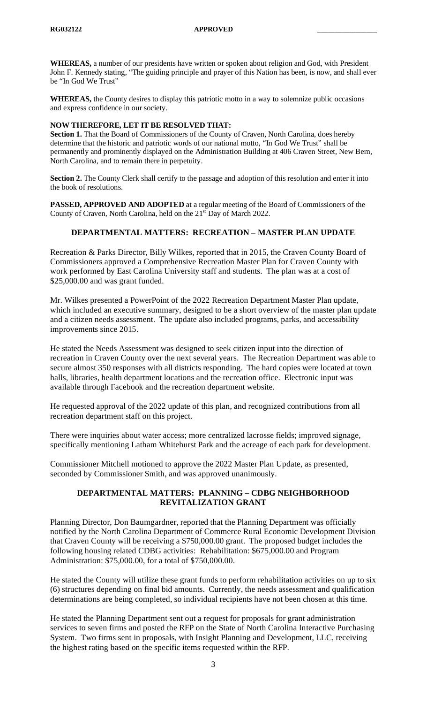**WHEREAS,** a number of our presidents have written or spoken about religion and God, with President John F. Kennedy stating, "The guiding principle and prayer of this Nation has been, is now, and shall ever be "In God We Trust"

**WHEREAS,** the County desires to display this patriotic motto in a way to solemnize public occasions and express confidence in our society.

#### **NOW THEREFORE, LET IT BE RESOLVED THAT:**

**Section 1.** That the Board of Commissioners of the County of Craven, North Carolina, does hereby determine that the historic and patriotic words of our national motto, "In God We Trust" shall be permanently and prominently displayed on the Administration Building at 406 Craven Street, New Bern, North Carolina, and to remain there in perpetuity.

**Section 2.** The County Clerk shall certify to the passage and adoption of this resolution and enter it into the book of resolutions.

**PASSED, APPROVED AND ADOPTED** at a regular meeting of the Board of Commissioners of the County of Craven, North Carolina, held on the 21<sup>st</sup> Day of March 2022.

# **DEPARTMENTAL MATTERS: RECREATION – MASTER PLAN UPDATE**

Recreation & Parks Director, Billy Wilkes, reported that in 2015, the Craven County Board of Commissioners approved a Comprehensive Recreation Master Plan for Craven County with work performed by East Carolina University staff and students. The plan was at a cost of \$25,000.00 and was grant funded.

Mr. Wilkes presented a PowerPoint of the 2022 Recreation Department Master Plan update, which included an executive summary, designed to be a short overview of the master plan update and a citizen needs assessment. The update also included programs, parks, and accessibility improvements since 2015.

He stated the Needs Assessment was designed to seek citizen input into the direction of recreation in Craven County over the next several years. The Recreation Department was able to secure almost 350 responses with all districts responding. The hard copies were located at town halls, libraries, health department locations and the recreation office. Electronic input was available through Facebook and the recreation department website.

He requested approval of the 2022 update of this plan, and recognized contributions from all recreation department staff on this project.

There were inquiries about water access; more centralized lacrosse fields; improved signage, specifically mentioning Latham Whitehurst Park and the acreage of each park for development.

Commissioner Mitchell motioned to approve the 2022 Master Plan Update, as presented, seconded by Commissioner Smith, and was approved unanimously.

# **DEPARTMENTAL MATTERS: PLANNING – CDBG NEIGHBORHOOD REVITALIZATION GRANT**

Planning Director, Don Baumgardner, reported that the Planning Department was officially notified by the North Carolina Department of Commerce Rural Economic Development Division that Craven County will be receiving a \$750,000.00 grant. The proposed budget includes the following housing related CDBG activities: Rehabilitation: \$675,000.00 and Program Administration: \$75,000.00, for a total of \$750,000.00.

He stated the County will utilize these grant funds to perform rehabilitation activities on up to six (6) structures depending on final bid amounts. Currently, the needs assessment and qualification determinations are being completed, so individual recipients have not been chosen at this time.

He stated the Planning Department sent out a request for proposals for grant administration services to seven firms and posted the RFP on the State of North Carolina Interactive Purchasing System. Two firms sent in proposals, with Insight Planning and Development, LLC, receiving the highest rating based on the specific items requested within the RFP.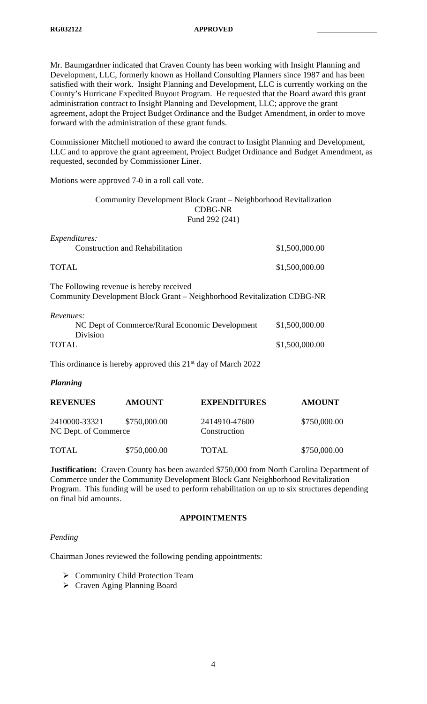Mr. Baumgardner indicated that Craven County has been working with Insight Planning and Development, LLC, formerly known as Holland Consulting Planners since 1987 and has been satisfied with their work. Insight Planning and Development, LLC is currently working on the County's Hurricane Expedited Buyout Program. He requested that the Board award this grant administration contract to Insight Planning and Development, LLC; approve the grant agreement, adopt the Project Budget Ordinance and the Budget Amendment, in order to move forward with the administration of these grant funds.

Commissioner Mitchell motioned to award the contract to Insight Planning and Development, LLC and to approve the grant agreement, Project Budget Ordinance and Budget Amendment, as requested, seconded by Commissioner Liner.

Motions were approved 7-0 in a roll call vote.

Community Development Block Grant – Neighborhood Revitalization CDBG-NR Fund 292 (241)

| <i>Expenditures:</i>                                                                                                |                |
|---------------------------------------------------------------------------------------------------------------------|----------------|
| <b>Construction and Rehabilitation</b>                                                                              | \$1,500,000.00 |
| <b>TOTAL</b>                                                                                                        | \$1,500,000.00 |
| The Following revenue is hereby received<br>Community Development Block Grant – Neighborhood Revitalization CDBG-NR |                |
| Revenues:<br>NC Dept of Commerce/Rural Economic Development<br>Division                                             | \$1,500,000.00 |
| <b>TOTAL</b>                                                                                                        | \$1,500,000.00 |
| This ordinance is hereby approved this 21 <sup>st</sup> day of March 2022                                           |                |

## *Planning*

| <b>REVENUES</b>                       | <b>AMOUNT</b> | <b>EXPENDITURES</b>           | <b>AMOUNT</b> |
|---------------------------------------|---------------|-------------------------------|---------------|
| 2410000-33321<br>NC Dept. of Commerce | \$750,000.00  | 2414910-47600<br>Construction | \$750,000.00  |
| <b>TOTAL</b>                          | \$750,000.00  | <b>TOTAL</b>                  | \$750,000.00  |

**Justification:** Craven County has been awarded \$750,000 from North Carolina Department of Commerce under the Community Development Block Gant Neighborhood Revitalization Program. This funding will be used to perform rehabilitation on up to six structures depending on final bid amounts.

#### **APPOINTMENTS**

#### *Pending*

Chairman Jones reviewed the following pending appointments:

- ▶ Community Child Protection Team
- Craven Aging Planning Board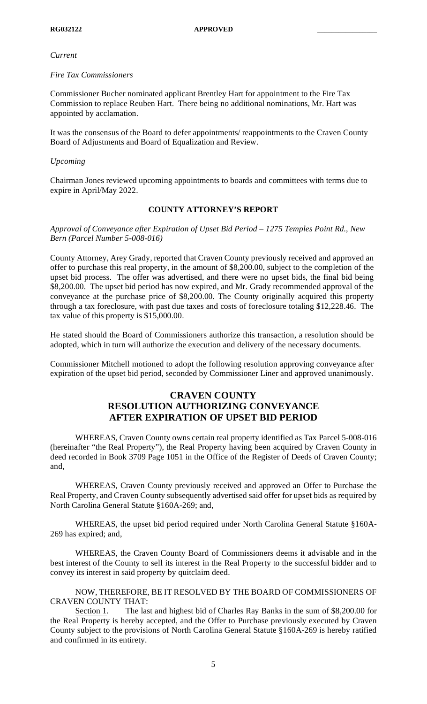#### *Current*

#### *Fire Tax Commissioners*

Commissioner Bucher nominated applicant Brentley Hart for appointment to the Fire Tax Commission to replace Reuben Hart. There being no additional nominations, Mr. Hart was appointed by acclamation.

It was the consensus of the Board to defer appointments/ reappointments to the Craven County Board of Adjustments and Board of Equalization and Review.

## *Upcoming*

Chairman Jones reviewed upcoming appointments to boards and committees with terms due to expire in April/May 2022.

# **COUNTY ATTORNEY'S REPORT**

*Approval of Conveyance after Expiration of Upset Bid Period – 1275 Temples Point Rd., New Bern (Parcel Number 5-008-016)*

County Attorney, Arey Grady, reported that Craven County previously received and approved an offer to purchase this real property, in the amount of \$8,200.00, subject to the completion of the upset bid process. The offer was advertised, and there were no upset bids, the final bid being \$8,200.00. The upset bid period has now expired, and Mr. Grady recommended approval of the conveyance at the purchase price of \$8,200.00. The County originally acquired this property through a tax foreclosure, with past due taxes and costs of foreclosure totaling \$12,228.46. The tax value of this property is \$15,000.00.

He stated should the Board of Commissioners authorize this transaction, a resolution should be adopted, which in turn will authorize the execution and delivery of the necessary documents.

Commissioner Mitchell motioned to adopt the following resolution approving conveyance after expiration of the upset bid period, seconded by Commissioner Liner and approved unanimously.

# **CRAVEN COUNTY RESOLUTION AUTHORIZING CONVEYANCE AFTER EXPIRATION OF UPSET BID PERIOD**

WHEREAS, Craven County owns certain real property identified as Tax Parcel 5-008-016 (hereinafter "the Real Property"), the Real Property having been acquired by Craven County in deed recorded in Book 3709 Page 1051 in the Office of the Register of Deeds of Craven County; and,

WHEREAS, Craven County previously received and approved an Offer to Purchase the Real Property, and Craven County subsequently advertised said offer for upset bids as required by North Carolina General Statute §160A-269; and,

WHEREAS, the upset bid period required under North Carolina General Statute §160A-269 has expired; and,

WHEREAS, the Craven County Board of Commissioners deems it advisable and in the best interest of the County to sell its interest in the Real Property to the successful bidder and to convey its interest in said property by quitclaim deed.

## NOW, THEREFORE, BE IT RESOLVED BY THE BOARD OF COMMISSIONERS OF CRAVEN COUNTY THAT:

Section 1. The last and highest bid of Charles Ray Banks in the sum of \$8,200.00 for the Real Property is hereby accepted, and the Offer to Purchase previously executed by Craven County subject to the provisions of North Carolina General Statute §160A-269 is hereby ratified and confirmed in its entirety.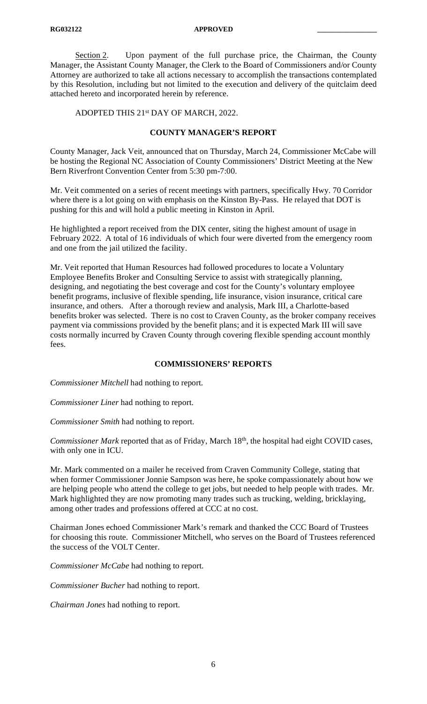Section 2. Upon payment of the full purchase price, the Chairman, the County Manager, the Assistant County Manager, the Clerk to the Board of Commissioners and/or County Attorney are authorized to take all actions necessary to accomplish the transactions contemplated by this Resolution, including but not limited to the execution and delivery of the quitclaim deed attached hereto and incorporated herein by reference.

ADOPTED THIS 21st DAY OF MARCH, 2022.

## **COUNTY MANAGER'S REPORT**

County Manager, Jack Veit, announced that on Thursday, March 24, Commissioner McCabe will be hosting the Regional NC Association of County Commissioners' District Meeting at the New Bern Riverfront Convention Center from 5:30 pm-7:00.

Mr. Veit commented on a series of recent meetings with partners, specifically Hwy. 70 Corridor where there is a lot going on with emphasis on the Kinston By-Pass. He relayed that DOT is pushing for this and will hold a public meeting in Kinston in April.

He highlighted a report received from the DIX center, siting the highest amount of usage in February 2022. A total of 16 individuals of which four were diverted from the emergency room and one from the jail utilized the facility.

Mr. Veit reported that Human Resources had followed procedures to locate a Voluntary Employee Benefits Broker and Consulting Service to assist with strategically planning, designing, and negotiating the best coverage and cost for the County's voluntary employee benefit programs, inclusive of flexible spending, life insurance, vision insurance, critical care insurance, and others. After a thorough review and analysis, Mark III, a Charlotte-based benefits broker was selected. There is no cost to Craven County, as the broker company receives payment via commissions provided by the benefit plans; and it is expected Mark III will save costs normally incurred by Craven County through covering flexible spending account monthly fees.

#### **COMMISSIONERS' REPORTS**

*Commissioner Mitchell* had nothing to report.

*Commissioner Liner* had nothing to report.

*Commissioner Smith* had nothing to report.

*Commissioner Mark* reported that as of Friday, March 18<sup>th</sup>, the hospital had eight COVID cases, with only one in ICU.

Mr. Mark commented on a mailer he received from Craven Community College, stating that when former Commissioner Jonnie Sampson was here, he spoke compassionately about how we are helping people who attend the college to get jobs, but needed to help people with trades. Mr. Mark highlighted they are now promoting many trades such as trucking, welding, bricklaying, among other trades and professions offered at CCC at no cost.

Chairman Jones echoed Commissioner Mark's remark and thanked the CCC Board of Trustees for choosing this route. Commissioner Mitchell, who serves on the Board of Trustees referenced the success of the VOLT Center.

*Commissioner McCabe* had nothing to report.

*Commissioner Bucher* had nothing to report.

*Chairman Jones* had nothing to report.